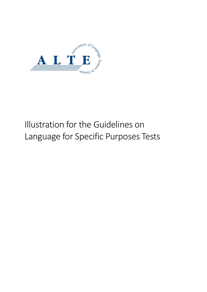

# Illustration for the Guidelines on Language for Specific Purposes Tests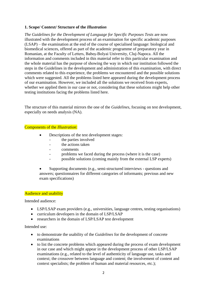## **1. Scope/ Context/ Structure of the** *Illustration*

*The Guidelines for the Development of Language for Specific Purposes Tests* are now illustrated with the development process of an examination for specific academic purposes (LSAP) – the examination at the end of the course of specialised language: biological and biomedical sciences, offered as part of the academic programme of preparatory year in Romanian, at the Faculty of Letters, Babeș-Bolyai University, Cluj-Napoca. All the information and comments included in this material refer to this particular examination and the whole material has the purpose of showing the way in which our institution followed the steps in the Guidelines in the development and administration of this examination, with direct comments related to this experience, the problems we encountered and the possible solutions which were suggested. All the problems listed here appeared during the development process of our examination. However, we included all the solutions we received from experts, whether we applied them in our case or not, considering that these solutions might help other testing institutions facing the problems listed here.

The structure of this material mirrors the one of the *Guidelines*, focusing on test development, especially on needs analysis (NA).

#### Components of the *Illustration*:

- Descriptions of the test development stages:
	- the parties involved
	- the actions taken
	- comments
	- problems we faced during the process (where it is the case)
	- possible solutions (coming mainly from the external LSP experts)

• Supporting documents (e.g., semi-structured interviews - questions and answers; questionnaires for different categories of informants; previous and new exam specifications)

#### Audience and usability

Intended audience:

- LSP/LSAP exam providers (e.g., universities, language centres, testing organisations)
- curriculum developers in the domain of LSP/LSAP
- researchers in the domain of LSP/LSAP test development

#### Intended use:

- to demonstrate the usability of the *Guidelines* for the development of concrete examinations
- to list the concrete problems which appeared during the process of exam development in our case and which might appear in the development process of other LSP/LSAP examinations (e.g., related to the level of authenticity of language use, tasks and context; the crossover between language and content; the involvement of content and context specialists; the problem of human and material resources, etc.);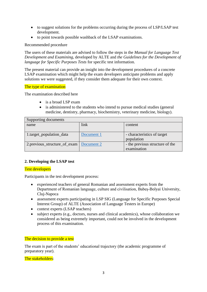- to suggest solutions for the problems occurring during the process of LSP/LSAP test development.
- to point towards possible washback of the LSAP examinations.

Recommended procedure

The users of these materials are advised to follow the steps in the *Manual for Language Test Development and Examining*, developed by ALTE and *the Guidelines for the Development of language for Specific Purposes Tests* for specific test information.

The present material can provide an insight into the development procedures of a concrete LSAP examination which might help the exam developers anticipate problems and apply solutions we were suggested, if they consider them adequate for their own context.

#### The type of examination

The examination described here

- is a broad LSP exam
- is administered to the students who intend to pursue medical studies (general medicine, dentistry, pharmacy, biochemistry, veterinary medicine, biology).

| Supporting documents                       |            |                                 |  |
|--------------------------------------------|------------|---------------------------------|--|
| name                                       | link       | content                         |  |
|                                            |            |                                 |  |
| 1.target_population_data                   | Document 1 | - characteristics of target     |  |
|                                            |            | population                      |  |
| 2. previous_structure_of_exam   Document 2 |            | - the previous structure of the |  |
|                                            |            | examination                     |  |

## **2. Developing the LSAP test**

## Test developers

Participants in the test development process:

- experienced teachers of general Romanian and assessment experts from the Department of Romanian language, culture and civilisation, Babeș-Bolyai University, Cluj-Napoca
- assessment experts participating in LSP SIG (Language for Specific Purposes Special Interest Group) of ALTE (Association of Language Testers in Europe)
- context experts (LSAP teachers)
- subject experts (e.g., doctors, nurses and clinical academics), whose collaboration we considered as being extremely important, could not be involved in the development process of this examination.

#### The decision to provide a test

The exam is part of the students' educational trajectory (the academic programme of preparatory year).

The stakeholders: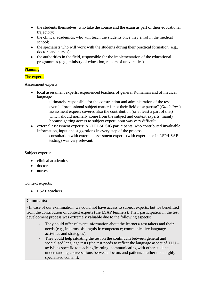- the students themselves, who take the course and the exam as part of their educational trajectory;
- the clinical academics, who will teach the students once they enrol in the medical school;
- the specialists who will work with the students during their practical formation (e.g., doctors and nurses);
- the authorities in the field, responsible for the implementation of the educational programmes (e.g., ministry of education, rectors of universities).

## **Planning**

## The experts

Assessment experts

- local assessment experts: experienced teachers of general Romanian and of medical language
	- ultimately responsible for the construction and administration of the test
	- even if "professional subject matter is not their field of expertise" (*Guidelines*), assessment experts covered also the contribution (or at least a part of that) which should normally come from the subject and context experts, mainly because getting access to subject expert input was very difficult
- external assessment experts: ALTE LSP SIG participants, who contributed invaluable information, input and suggestions in every step of the process.
	- consultation with external assessment experts (with experience in LSP/LSAP testing) was very relevant.

## Subject experts:

- clinical academics
- doctors
- nurses

Context experts:

• LSAP teachers.

## **Comments:**

- In case of our examination, we could not have access to subject experts, but we benefitted from the contribution of context experts (the LSAP teachers). Their participation in the test development process was extremely valuable due to the following aspects:

- They could offer relevant information about the learners/ test takers and their needs (e.g., in terms of: linguistic competence; communicative language activities and strategies).
- They could help situating the test on the continuum between general and specialised language tests (the test needs to reflect the language aspect of TLU – activities specific to teaching/learning; communicating with other students, understanding conversations between doctors and patients - rather than highly specialised content).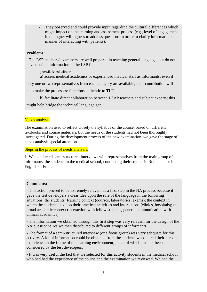They observed and could provide input regarding the cultural differences which might impact on the learning and assessment process (e.g., level of engagement in dialogue; willingness to address questions in order to clarify information; manner of interacting with patients).

## **Problems:**

- The LSP teachers/ examiners are well prepared in teaching general language, but do not have detailed information in the LSP field.

#### **- possible solutions:**

a) access medical academics or experienced medical staff as informants; even if

only one or two representatives from each category are available, their contribution will

help make the processes/ functions authentic to TLU;

b) facilitate direct collaboration between LSAP teachers and subject experts; this

might help bridge the technical language gap.

#### Needs analysis

The examination used to reflect closely the syllabus of the course, based on different textbooks and course materials, but the needs of the students had not been thoroughly investigated. During the development process of the new examination, we gave the stage of needs analysis special attention.

Steps in the process of needs analysis:

1. We conducted semi-structured interviews with representatives from the main group of informants, the students in the medical school, conducting their studies in Romanian or in English or French.

#### **Comments:**

- This action proved to be extremely relevant as a first step in the NA process because it gave the test developers a clear idea upon the role of the language in the following situations: the students' learning context (courses, laboratories, exams); the context in which the students develop their practical activities and interactions (clinics, hospitals); the broad academic context (interaction with fellow students, general communication with clinical academics).

- The information we obtained through this first step was very relevant for the design of the NA questionnaires we then distributed to different groups of informants.

- The format of a semi-structured interview (or a focus group) was very adequate for this activity. A lot of information could be obtained from the students who shared their personal experience in the frame of the learning environment, much of which had not been considered by the test developers.

- It was very useful the fact that we selected for this activity students in the medical school who had had the experience of the course and the examination we reviewed. We had the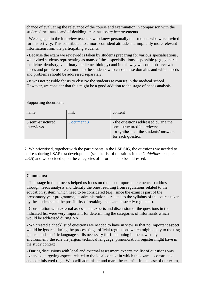chance of evaluating the relevance of the course and examination in comparison with the students' real needs and of deciding upon necessary improvements.

- We engaged in the interview teachers who knew personally the students who were invited for this activity. This contributed to a more confident attitude and implicitly more relevant information from the participating students.

- Because the exam we reviewed is taken by students preparing for various specialisations, we invited students representing as many of these specialisations as possible (e.g., general medicine, dentistry, veterinary medicine, biology) and in this way we could observe what needs and problems are common to the students who chose these domains and which needs and problems should be addressed separately.

- It was not possible for us to observe the students at courses in the medical school. However, we consider that this might be a good addition to the stage of needs analysis.

| Supporting documents            |            |                                                                                                                                    |
|---------------------------------|------------|------------------------------------------------------------------------------------------------------------------------------------|
| name                            | link       | content                                                                                                                            |
| 3.semi-structured<br>interviews | Document 3 | - the questions addressed during the<br>semi structured interviews;<br>- a synthesis of the students' answers<br>for each question |

2. We prioritised, together with the participants in the LSP SIG, the questions we needed to address during LSAP test development (see the list of questions in the *Guidelines*, chapter 2.3.5) and we decided upon the categories of informants to be addressed.

## **Comments:**

- This stage in the process helped us focus on the most important elements to address through needs analysis and identify the ones resulting from regulations related to the education system, which need to be considered (e.g., since the exam is part of the preparatory year programme, its administration is related to the syllabus of the course taken by the students and the possibility of retaking the exam is strictly regulated).

- Consultation with external assessment experts and discussion of the questions in the indicated list were very important for determining the categories of informants which would be addressed during NA.

- We created a checklist of questions we needed to have in view so that no important aspect would be ignored during the process (e.g., official regulations which might apply to the test; general and specific language skills necessary for functioning in the new study environment; the role the jargon, technical language, pronunciation, register might have in the study context).

- During discussions with local and external assessment experts the list of questions was expanded, targeting aspects related to the local context in which the exam is constructed and administered (e.g., Who will administer and mark the exam? – In the case of our exam,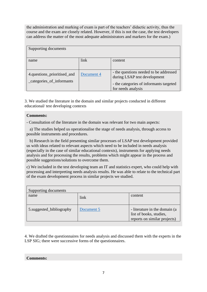the administration and marking of exam is part of the teachers' didactic activity, thus the course and the exam are closely related. However, if this is not the case, the test developers can address the matter of the most adequate administrators and markers for the exam.)

| Supporting documents                                     |            |                                                                                                                                         |
|----------------------------------------------------------|------------|-----------------------------------------------------------------------------------------------------------------------------------------|
| name                                                     | link       | content                                                                                                                                 |
| 4.questions_prioritised_and<br>_categories_of_informants | Document 4 | - the questions needed to be addressed<br>during LSAP test development<br>- the categories of informants targeted<br>for needs analysis |

3. We studied the literature in the domain and similar projects conducted in different educational/ test developing contexts

## **Comments:**

- Consultation of the literature in the domain was relevant for two main aspects:

 a) The studies helped us operationalise the stage of needs analysis, through access to possible instruments and procedures.

 b) Research in the field presenting similar processes of LSAP test development provided us with ideas related to relevant aspects which need to be included in needs analysis (especially in the case of similar educational contexts), instruments for applying needs analysis and for processing the results, problems which might appear in the process and possible suggestions/solutions to overcome them.

c) We included in the test developing team an IT and statistics expert, who could help with processing and interpreting needs analysis results. He was able to relate to the technical part of the exam development process in similar projects we studied.

| Supporting documents     |            |                                                                                           |
|--------------------------|------------|-------------------------------------------------------------------------------------------|
| name                     | link       | content                                                                                   |
| 5.suggested_bibliography | Document 5 | - literature in the domain (a)<br>list of books, studies,<br>reports on similar projects) |

4. We drafted the questionnaires for needs analysis and discussed them with the experts in the LSP SIG; there were successive forms of the questionnaires.

#### **Comments:**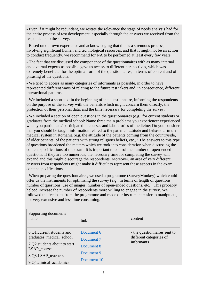- Even if it might be redundant, we restate the relevance the stage of needs analysis had for the entire process of test development, especially through the answers we received from the respondents to the survey.

- Based on our own experience and acknowledging that this is a strenuous process, involving significant human and technological resources, and that it might not be an action to conduct frequently, we recommend for NA to be performed at least every few years.

- The fact that we discussed the componence of the questionnaires with as many internal and external experts as possible gave us access to different perspectives, which was extremely beneficial for the optimal form of the questionnaires, in terms of content and of phrasing of the questions.

- We tried to access as many categories of informants as possible, in order to have represented different ways of relating to the future test takers and, in consequence, different interactional patterns.

- We included a short text in the beginning of the questionnaire, informing the respondents on the purpose of the survey with the benefits which might concern them directly, the protection of their personal data, and the time necessary for completing the survey.

- We included a section of open questions in the questionnaires (e.g., for current students or graduates from the medical school: Name three main problems you experience/ experienced when you participate/ participated in courses and laboratories of medicine; Do you consider that you should be taught information related to the patients' attitude and behaviour in the medical system in Romania (e.g. the attitude of the patients coming from the countryside, of older patients, of the patients with strong religious beliefs, etc.)? The answers to this type of questions broadened the matters which we took into consideration when discussing the content specifications of the exam. It is important to control the number of open-ended questions. If they are too numerous, the necessary time for completing the survey will expand and this might discourage the respondents. Moreover, an area of very different answers from respondents might make it difficult to represent these aspects in the exam content specifications.

- When preparing the questionnaires, we used a programme (SurveyMonkey) which could offer us the instruments for optimising the survey (e.g., in terms of length of questions, number of questions, use of images, number of open-ended questions, etc.). This probably helped increase the number of respondents more willing to engage in the survey. We followed the feedback from the programme and made our instrument easier to manipulate, not very extensive and less time consuming.

| Supporting documents                                                                                                                                    |                                                                     |                                                                       |  |
|---------------------------------------------------------------------------------------------------------------------------------------------------------|---------------------------------------------------------------------|-----------------------------------------------------------------------|--|
| name                                                                                                                                                    | link                                                                | content                                                               |  |
| 6.Q1. current students and<br>graduates_medical_school<br>7.Q2. students about to start<br>LSAP course<br>8.Q3.LSAP_teachers<br>9.Q4.clinical_academics | Document 6<br>Document 7<br>Document 8<br>Document 9<br>Document 10 | - the question aires sent to<br>different categories of<br>informants |  |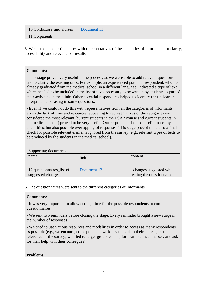| 10.05.doctors_and_nurses | Document 11 |  |
|--------------------------|-------------|--|
| 11.06.patients           |             |  |

5. We tested the questionnaires with representatives of the categories of informants for clarity, accessibility and relevance of results

## **Comments:**

- This stage proved very useful in the process, as we were able to add relevant questions and to clarify the existing ones. For example, an experienced potential respondent, who had already graduated from the medical school in a different language, indicated a type of text which needed to be included in the list of texts necessary to be written by students as part of their activities in the clinic. Other potential respondents helped us identify the unclear or interpretable phrasing in some questions.

- Even if we could not do this with representatives from all the categories of informants, given the lack of time and resources, appealing to representatives of the categories we considered the most relevant (current students in the LSAP course and current students in the medical school) proved to be very useful. Our respondents helped us eliminate any unclarities, but also possible overlapping of responses. This stage proved to be also a final check for possible relevant elements ignored from the survey (e.g., relevant types of texts to be produced by the students in the medical school).

| Supporting documents                           |             |                                                         |  |
|------------------------------------------------|-------------|---------------------------------------------------------|--|
| name                                           | link        | content                                                 |  |
| 12.questionnaires_list of<br>suggested changes | Document 12 | - changes suggested while<br>testing the questionnaires |  |

6. The questionnaires were sent to the different categories of informants

#### **Comments:**

- It was very important to allow enough time for the possible respondents to complete the questionnaires.

- We sent two reminders before closing the stage. Every reminder brought a new surge in the number of responses.

- We tried to use various resources and modalities in order to access as many respondents as possible (e.g., we encouraged respondents we knew to explain their colleagues the relevance of the survey; we tried to target group leaders, for example, head nurses, and ask for their help with their colleagues).

## **Problems:**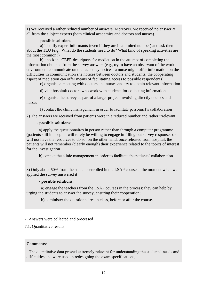1) We received a rather reduced number of answers. Moreover, we received no answer at all from the subject experts (both clinical academics and doctors and nurses).

#### **- possible solutions:**

 a) identify expert informants (even if they are in a limited number) and ask them about the TLU (e.g., What do the students need to do? What kind of speaking activities are the most common?)

 b) check the CEFR descriptors for mediation in the attempt of completing the information obtained from the survey answers (e.g., try to have an observant of the work environment communicate on the facts they notice – a nurse might offer information on the difficulties in communication she notices between doctors and students; the cooperating aspect of mediation can offer means of facilitating access to possible respondents)

c) organise a meeting with doctors and nurses and try to obtain relevant information

d) visit hospital/ doctors who work with students for collecting information

 e) organise the survey as part of a larger project involving directly doctors and nurses

f) contact the clinic management in order to facilitate personnel's collaboration

2) The answers we received from patients were in a reduced number and rather irrelevant

## **- possible solutions:**

 a) apply the questionnaires in person rather than through a computer programme (patients still in hospital will rarely be willing to engage in filling out survey responses or will not have the resources to do so; on the other hand, once released from hospital, the patients will not remember (clearly enough) their experience related to the topics of interest for the investigation

b) contact the clinic management in order to facilitate the patients' collaboration

3) Only about 50% from the students enrolled in the LSAP course at the moment when we applied the survey answered it

#### **- possible solutions:**

 a) engage the teachers from the LSAP courses in the process; they can help by urging the students to answer the survey, ensuring their cooperation;

b) administer the questionnaires in class, before or after the course.

## 7. Answers were collected and processed

7.1. Quantitative results

## **Comments**:

- The quantitative data proved extremely relevant for understanding the students' needs and difficulties and were used in redesigning the exam specifications;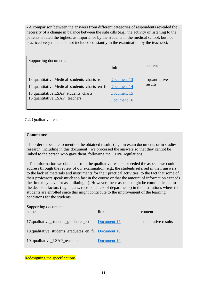- A comparison between the answers from different categories of respondents revealed the necessity of a change in balance between the subskills (e.g., the activity of listening to the patients is rated the highest as importance by the students in the medical school, but not practiced very much and not included constantly in the examination by the teachers);

| Supporting documents                                                                                                                                                 |                                           |                           |
|----------------------------------------------------------------------------------------------------------------------------------------------------------------------|-------------------------------------------|---------------------------|
| name                                                                                                                                                                 | link                                      | content                   |
| 13.quantitative.Medical_students_charts_ro<br>14.quantitative.Medical_students_charts_en_fr<br>15.quantitative.LSAP_students_charts<br>16.quantitative.LSAP_teachers | Document 13<br>Document 14<br>Document 15 | - quantitative<br>results |
|                                                                                                                                                                      | Document 16                               |                           |

# 7.2. Qualitative results

#### **Comments**:

- In order to be able to mention the obtained results (e.g., in exam documents or in studies, research, including in this document), we processed the answers so that they cannot be linked to the person who gave them, following the GDPR regulations;

- The information we obtained from the qualitative results exceeded the aspects we could address through the review of our examination (e.g., the students referred in their answers to the lack of materials and instruments for their practical activities, to the fact that some of their professors speak much too fast in the course or that the amount of information exceeds the time they have for assimilating it). However, these aspects might be communicated to the decision factors (e.g., deans, rectors, chiefs of departments) in the institutions where the students are enrolled since this might contribute to the improvement of the learning conditions for the students.

| Supporting documents                                  |             |                       |
|-------------------------------------------------------|-------------|-----------------------|
| name                                                  | link        | content               |
|                                                       |             |                       |
| 17.qualitative_students_graduates_ro                  | Document 17 | - qualitative results |
|                                                       |             |                       |
| 18.qualitative_students_graduates_en_fr   Document 18 |             |                       |
|                                                       |             |                       |
| 19. qualitative_LSAP_teachers                         | Document 19 |                       |
|                                                       |             |                       |

Redesigning the specifications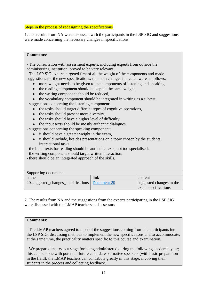## Steps in the process of redesigning the specifications

1. The results from NA were discussed with the participants in the LSP SIG and suggestions were made concerning the necessary changes in specifications

#### **Comments**:

- The consultation with assessment experts, including experts from outside the administering institution, proved to be very relevant.

- The LSP SIG experts targeted first of all the weight of the components and made suggestions for the new specifications; the main changes indicated were as follows:

- more weight needs to be given to the components of listening and speaking,
- the reading component should be kept at the same weight,
- the writing component should be reduced,
- the vocabulary component should be integrated in writing as a subtest.

- suggestions concerning the listening component:

- the tasks should target different types of cognitive operations,
- the tasks should present more diversity,
- the tasks should have a higher level of difficulty,
- the input texts should be mostly authentic dialogues.

- suggestions concerning the speaking component:

- it should have a greater weight in the exam,
- it should include, besides presentations on a topic chosen by the students, interactional tasks
- the input texts for reading should be authentic texts, not too specialised;
- the writing component should target written interaction;
- there should be an integrated approach of the skills.

| Supporting documents                              |      |                          |
|---------------------------------------------------|------|--------------------------|
| name                                              | link | content                  |
| 20.suggested_changes_specifications   Document 20 |      | suggested changes in the |
|                                                   |      | exam specifications      |

2. The results from NA and the suggestions from the experts participating in the LSP SIG were discussed with the LMAP teachers and assessors

## **Comments**:

- The LMAP teachers agreed to most of the suggestions coming from the participants into the LSP SIG, discussing methods to implement the new specifications and to accommodate, at the same time, the practicality matters specific to this course and examination.

- We prepared the try-out stage for being administered during the following academic year; this can be done with potential future candidates or native speakers (with basic preparation in the field); the LMAP teachers can contribute greatly in this stage, involving their students in the process and collecting feedback.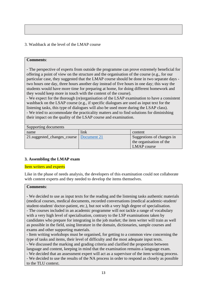3. Washback at the level of the LMAP course

## **Comments**:

- The perspective of experts from outside the programme can prove extremely beneficial for offering a point of view on the structure and the organisation of the course (e.g., for our particular case, they suggested that the LMAP course should be done in two separate days two hours one day, three hours another day instead of five hours in one day; this way the students would have more time for preparing at home, for doing different homework and they would keep more in touch with the content of the course).

- We expect for the thorough (re)organisation of the LSAP examination to have a consistent washback on the LSAP course (e.g., if specific dialogues are used as input text for the listening tasks, this type of dialogues will also be used more during the LSAP class). - We tried to accommodate the practicality matters and to find solutions for diminishing their impact on the quality of the LSAP course and examination.

| Supporting documents                      |      |                           |  |
|-------------------------------------------|------|---------------------------|--|
| name                                      | link | content                   |  |
| 21.suggested_changes_course   Document 21 |      | Suggestions of changes in |  |
|                                           |      | the organisation of the   |  |
|                                           |      | LMAP course               |  |

## **3. Assembling the LMAP exam**

#### Item writers and experts

Like in the phase of needs analysis, the developers of this examination could not collaborate with content experts and they needed to develop the items themselves.

#### **Comments**:

- We decided to use as input texts for the reading and the listening tasks authentic materials (medical courses, medical documents, recorded conversations (medical academic-student/ student-student/ doctor-patient, etc.), but not with a very high degree of specialisation. - The courses included in an academic programme will not tackle a range of vocabulary with a very high level of specialisation, contrary to the LSP examinations taken by candidates who prepare for integrating in the job market; the item writer will train as well as possible in the field, using literature in the domain, dictionaries, sample courses and exams and other supporting materials.

- Item writing workshops must be organised, for getting to a common view concerning the type of tasks and items, their level of difficulty and the most adequate input texts.

- We discussed the marking and grading criteria and clarified the proportion between language and content, keeping in mind that the examination remains a language exam.

- We decided that an assessment expert will act as a supervisor of the item writing process. - We decided to use the results of the NA process in order to respond as closely as possible to the TLU context.